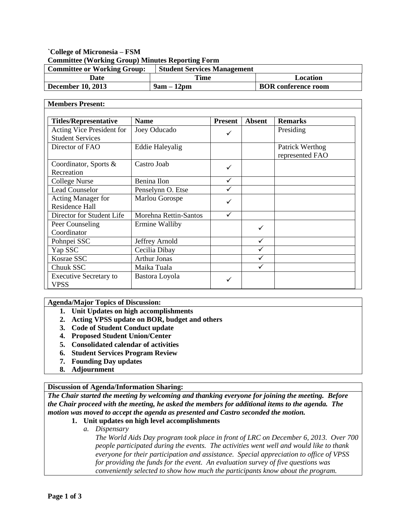# **`College of Micronesia – FSM Committee (Working Group) Minutes Reporting Form**

| <b>Committee or Working Group:</b> | <b>Student Services Management</b> |                            |
|------------------------------------|------------------------------------|----------------------------|
| Date                               | Time                               | Location                   |
| <b>December 10, 2013</b>           | $9am - 12pm$                       | <b>BOR</b> conference room |

#### **Members Present:**

| <b>Titles/Representative</b>                         | <b>Name</b>            | <b>Present</b> | <b>Absent</b> | <b>Remarks</b>                     |  |
|------------------------------------------------------|------------------------|----------------|---------------|------------------------------------|--|
| Acting Vice President for<br><b>Student Services</b> | Joey Oducado           | ✓              |               | Presiding                          |  |
| Director of FAO                                      | <b>Eddie Haleyalig</b> |                |               | Patrick Werthog<br>represented FAO |  |
| Coordinator, Sports &<br>Recreation                  | Castro Joab            | ✓              |               |                                    |  |
| College Nurse                                        | Benina Ilon            | ✓              |               |                                    |  |
| <b>Lead Counselor</b>                                | Penselynn O. Etse      | ✓              |               |                                    |  |
| <b>Acting Manager for</b><br><b>Residence Hall</b>   | Marlou Gorospe         | ✓              |               |                                    |  |
| Director for Student Life                            | Morehna Rettin-Santos  | ✓              |               |                                    |  |
| Peer Counseling<br>Coordinator                       | Ermine Walliby         |                | ✓             |                                    |  |
| Pohnpei SSC                                          | Jeffrey Arnold         |                | ✓             |                                    |  |
| Yap SSC                                              | Cecilia Dibay          |                | ✓             |                                    |  |
| Kosrae SSC                                           | <b>Arthur Jonas</b>    |                |               |                                    |  |
| Chuuk SSC                                            | Maika Tuala            |                |               |                                    |  |
| <b>Executive Secretary to</b><br>VPSS                | Bastora Loyola         | $\checkmark$   |               |                                    |  |

**Agenda/Major Topics of Discussion:**

- **1. Unit Updates on high accomplishments**
- **2. Acting VPSS update on BOR, budget and others**
- **3. Code of Student Conduct update**
- **4. Proposed Student Union/Center**
- **5. Consolidated calendar of activities**
- **6. Student Services Program Review**
- **7. Founding Day updates**
- **8. Adjournment**

#### **Discussion of Agenda/Information Sharing:**

*The Chair started the meeting by welcoming and thanking everyone for joining the meeting. Before the Chair proceed with the meeting, he asked the members for additional items to the agenda. The motion was moved to accept the agenda as presented and Castro seconded the motion.*

#### **1. Unit updates on high level accomplishments**

*a. Dispensary*

*The World Aids Day program took place in front of LRC on December 6, 2013. Over 700 people participated during the events. The activities went well and would like to thank everyone for their participation and assistance. Special appreciation to office of VPSS for providing the funds for the event. An evaluation survey of five questions was conveniently selected to show how much the participants know about the program.*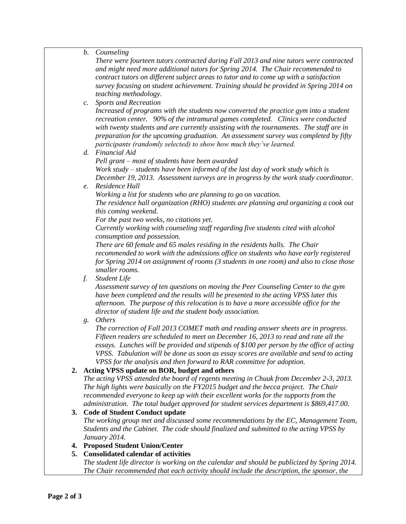*b. Counseling*

*There were fourteen tutors contracted during Fall 2013 and nine tutors were contracted and might need more additional tutors for Spring 2014. The Chair recommended to contract tutors on different subject areas to tutor and to come up with a satisfaction survey focusing on student achievement. Training should be provided in Spring 2014 on teaching methodology.*

*c. Sports and Recreation*

*Increased of programs with the students now converted the practice gym into a student recreation center. 90% of the intramural games completed. Clinics were conducted with twenty students and are currently assisting with the tournaments. The staff are in preparation for the upcoming graduation. An assessment survey was completed by fifty participants (randomly selected) to show how much they've learned.*

- *d. Financial Aid Pell grant – most of students have been awarded Work study – students have been informed of the last day of work study which is December 19, 2013. Assessment surveys are in progress by the work study coordinator.*
- *e. Residence Hall*

*Working a list for students who are planning to go on vacation.* 

*The residence hall organization (RHO) students are planning and organizing a cook out this coming weekend.*

*For the past two weeks, no citations yet.*

*Currently working with counseling staff regarding five students cited with alcohol consumption and possession.*

*There are 60 female and 65 males residing in the residents halls. The Chair recommended to work with the admissions office on students who have early registered for Spring 2014 on assignment of rooms (3 students in one room) and also to close those smaller rooms.*

*f. Student Life*

*Assessment survey of ten questions on moving the Peer Counseling Center to the gym have been completed and the results will be presented to the acting VPSS later this afternoon. The purpose of this relocation is to have a more accessible office for the director of student life and the student body association.*

*g. Others*

*The correction of Fall 2013 COMET math and reading answer sheets are in progress. Fifteen readers are scheduled to meet on December 16, 2013 to read and rate all the essays. Lunches will be provided and stipends of \$100 per person by the office of acting VPSS. Tabulation will be done as soon as essay scores are available and send to acting VPSS for the analysis and then forward to RAR committee for adoption.*

# **2. Acting VPSS update on BOR, budget and others**

*The acting VPSS attended the board of regents meeting in Chuuk from December 2-3, 2013. The high lights were basically on the FY2015 budget and the becca project. The Chair recommended everyone to keep up with their excellent works for the supports from the administration. The total budget approved for student services department is \$869,417.00.*

# **3. Code of Student Conduct update**

*The working group met and discussed some recommendations by the EC, Management Team, Students and the Cabinet. The code should finalized and submitted to the acting VPSS by January 2014.*

# **4. Proposed Student Union/Center**

# **5. Consolidated calendar of activities**

*The student life director is working on the calendar and should be publicized by Spring 2014. The Chair recommended that each activity should include the description, the sponsor, the*